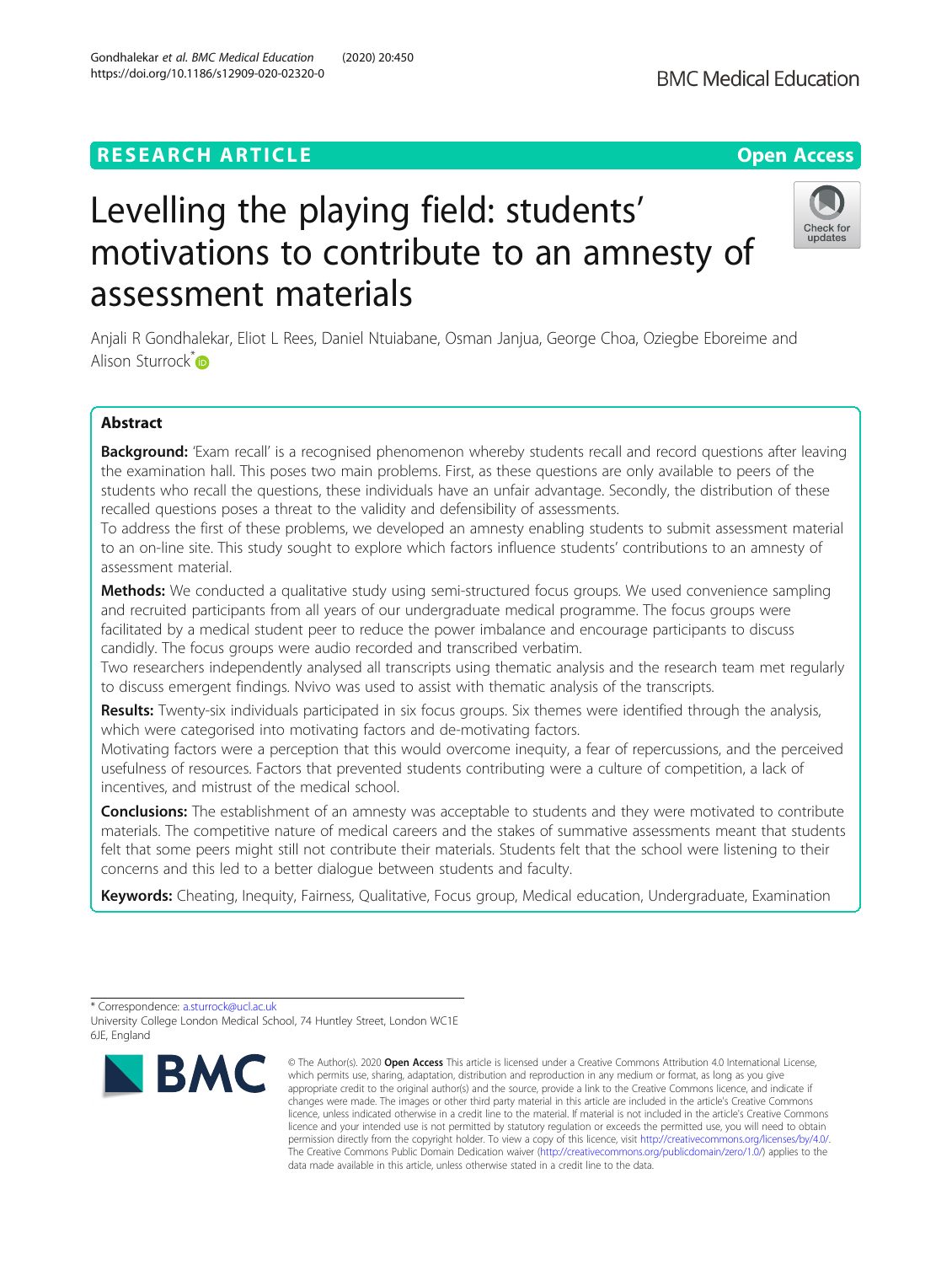## **RESEARCH ARTICLE Example 2014 12:30 The Contract of Contract ACCESS**

# Levelling the playing field: students' motivations to contribute to an amnesty of assessment materials

Anjali R Gondhalekar, Eliot L Rees, Daniel Ntuiabane, Osman Janjua, George Choa, Oziegbe Eboreime and Alison Sturrock<sup>[\\*](http://orcid.org/0000-0003-3531-159X)</sup>

### Abstract

Background: 'Exam recall' is a recognised phenomenon whereby students recall and record questions after leaving the examination hall. This poses two main problems. First, as these questions are only available to peers of the students who recall the questions, these individuals have an unfair advantage. Secondly, the distribution of these recalled questions poses a threat to the validity and defensibility of assessments.

To address the first of these problems, we developed an amnesty enabling students to submit assessment material to an on-line site. This study sought to explore which factors influence students' contributions to an amnesty of assessment material.

Methods: We conducted a qualitative study using semi-structured focus groups. We used convenience sampling and recruited participants from all years of our undergraduate medical programme. The focus groups were facilitated by a medical student peer to reduce the power imbalance and encourage participants to discuss candidly. The focus groups were audio recorded and transcribed verbatim.

Two researchers independently analysed all transcripts using thematic analysis and the research team met regularly to discuss emergent findings. Nvivo was used to assist with thematic analysis of the transcripts.

Results: Twenty-six individuals participated in six focus groups. Six themes were identified through the analysis, which were categorised into motivating factors and de-motivating factors.

Motivating factors were a perception that this would overcome inequity, a fear of repercussions, and the perceived usefulness of resources. Factors that prevented students contributing were a culture of competition, a lack of incentives, and mistrust of the medical school.

**Conclusions:** The establishment of an amnesty was acceptable to students and they were motivated to contribute materials. The competitive nature of medical careers and the stakes of summative assessments meant that students felt that some peers might still not contribute their materials. Students felt that the school were listening to their concerns and this led to a better dialogue between students and faculty.

Keywords: Cheating, Inequity, Fairness, Qualitative, Focus group, Medical education, Undergraduate, Examination

\* Correspondence: [a.sturrock@ucl.ac.uk](mailto:a.sturrock@ucl.ac.uk)

University College London Medical School, 74 Huntley Street, London WC1E 6JE, England

<sup>©</sup> The Author(s), 2020 **Open Access** This article is licensed under a Creative Commons Attribution 4.0 International License, which permits use, sharing, adaptation, distribution and reproduction in any medium or format, as long as you give appropriate credit to the original author(s) and the source, provide a link to the Creative Commons licence, and indicate if changes were made. The images or other third party material in this article are included in the article's Creative Commons licence, unless indicated otherwise in a credit line to the material. If material is not included in the article's Creative Commons licence and your intended use is not permitted by statutory regulation or exceeds the permitted use, you will need to obtain permission directly from the copyright holder. To view a copy of this licence, visit [http://creativecommons.org/licenses/by/4.0/.](http://creativecommons.org/licenses/by/4.0/) The Creative Commons Public Domain Dedication waiver [\(http://creativecommons.org/publicdomain/zero/1.0/](http://creativecommons.org/publicdomain/zero/1.0/)) applies to the data made available in this article, unless otherwise stated in a credit line to the data.





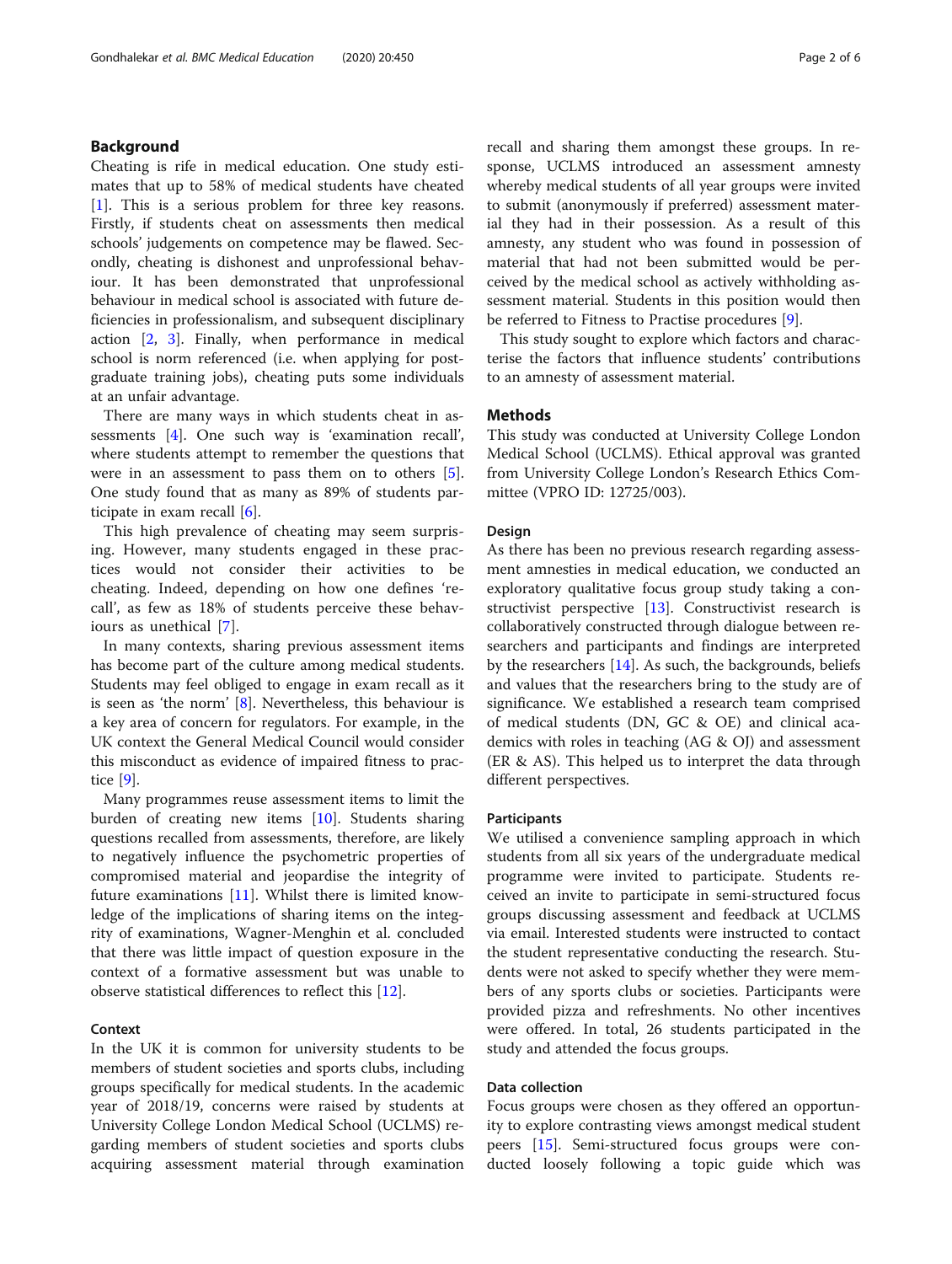### Background

Cheating is rife in medical education. One study estimates that up to 58% of medical students have cheated [[1\]](#page-5-0). This is a serious problem for three key reasons. Firstly, if students cheat on assessments then medical schools' judgements on competence may be flawed. Secondly, cheating is dishonest and unprofessional behaviour. It has been demonstrated that unprofessional behaviour in medical school is associated with future deficiencies in professionalism, and subsequent disciplinary action [\[2](#page-5-0), [3\]](#page-5-0). Finally, when performance in medical school is norm referenced (i.e. when applying for postgraduate training jobs), cheating puts some individuals at an unfair advantage.

There are many ways in which students cheat in assessments [[4\]](#page-5-0). One such way is 'examination recall', where students attempt to remember the questions that were in an assessment to pass them on to others [\[5](#page-5-0)]. One study found that as many as 89% of students participate in exam recall [\[6](#page-5-0)].

This high prevalence of cheating may seem surprising. However, many students engaged in these practices would not consider their activities to be cheating. Indeed, depending on how one defines 'recall', as few as 18% of students perceive these behaviours as unethical [\[7](#page-5-0)].

In many contexts, sharing previous assessment items has become part of the culture among medical students. Students may feel obliged to engage in exam recall as it is seen as 'the norm' [[8\]](#page-5-0). Nevertheless, this behaviour is a key area of concern for regulators. For example, in the UK context the General Medical Council would consider this misconduct as evidence of impaired fitness to practice [\[9](#page-5-0)].

Many programmes reuse assessment items to limit the burden of creating new items [\[10](#page-5-0)]. Students sharing questions recalled from assessments, therefore, are likely to negatively influence the psychometric properties of compromised material and jeopardise the integrity of future examinations [[11](#page-5-0)]. Whilst there is limited knowledge of the implications of sharing items on the integrity of examinations, Wagner-Menghin et al. concluded that there was little impact of question exposure in the context of a formative assessment but was unable to observe statistical differences to reflect this [[12\]](#page-5-0).

### Context

In the UK it is common for university students to be members of student societies and sports clubs, including groups specifically for medical students. In the academic year of 2018/19, concerns were raised by students at University College London Medical School (UCLMS) regarding members of student societies and sports clubs acquiring assessment material through examination recall and sharing them amongst these groups. In response, UCLMS introduced an assessment amnesty whereby medical students of all year groups were invited to submit (anonymously if preferred) assessment material they had in their possession. As a result of this amnesty, any student who was found in possession of material that had not been submitted would be perceived by the medical school as actively withholding assessment material. Students in this position would then be referred to Fitness to Practise procedures [\[9](#page-5-0)].

This study sought to explore which factors and characterise the factors that influence students' contributions to an amnesty of assessment material.

### **Methods**

This study was conducted at University College London Medical School (UCLMS). Ethical approval was granted from University College London's Research Ethics Committee (VPRO ID: 12725/003).

#### Design

As there has been no previous research regarding assessment amnesties in medical education, we conducted an exploratory qualitative focus group study taking a constructivist perspective [[13](#page-5-0)]. Constructivist research is collaboratively constructed through dialogue between researchers and participants and findings are interpreted by the researchers  $[14]$  $[14]$ . As such, the backgrounds, beliefs and values that the researchers bring to the study are of significance. We established a research team comprised of medical students (DN, GC & OE) and clinical academics with roles in teaching (AG & OJ) and assessment (ER & AS). This helped us to interpret the data through different perspectives.

#### Participants

We utilised a convenience sampling approach in which students from all six years of the undergraduate medical programme were invited to participate. Students received an invite to participate in semi-structured focus groups discussing assessment and feedback at UCLMS via email. Interested students were instructed to contact the student representative conducting the research. Students were not asked to specify whether they were members of any sports clubs or societies. Participants were provided pizza and refreshments. No other incentives were offered. In total, 26 students participated in the study and attended the focus groups.

#### Data collection

Focus groups were chosen as they offered an opportunity to explore contrasting views amongst medical student peers [\[15](#page-5-0)]. Semi-structured focus groups were conducted loosely following a topic guide which was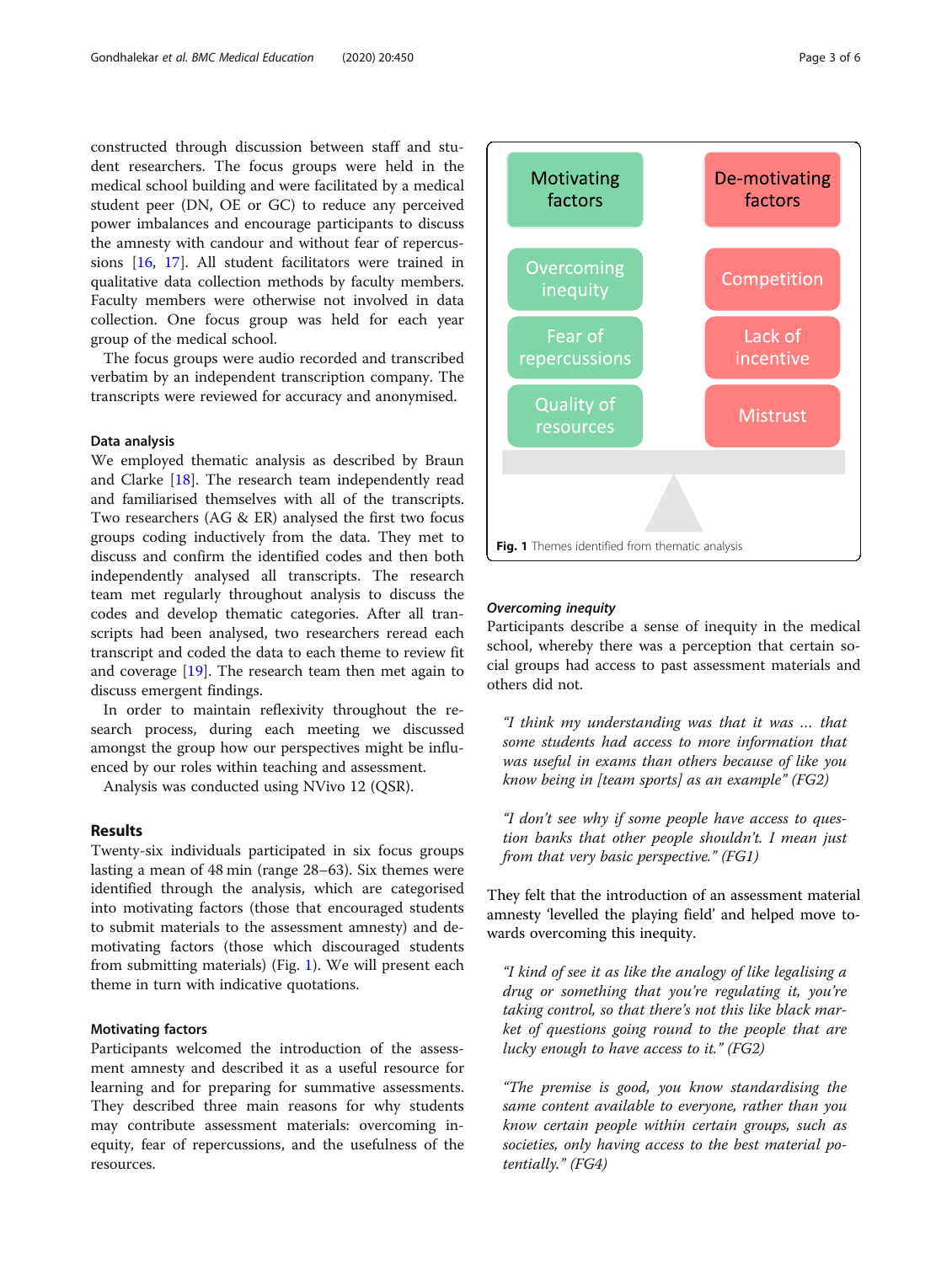constructed through discussion between staff and student researchers. The focus groups were held in the medical school building and were facilitated by a medical student peer (DN, OE or GC) to reduce any perceived power imbalances and encourage participants to discuss the amnesty with candour and without fear of repercussions [[16,](#page-5-0) [17\]](#page-5-0). All student facilitators were trained in qualitative data collection methods by faculty members. Faculty members were otherwise not involved in data collection. One focus group was held for each year group of the medical school.

The focus groups were audio recorded and transcribed verbatim by an independent transcription company. The transcripts were reviewed for accuracy and anonymised.

#### Data analysis

We employed thematic analysis as described by Braun and Clarke [\[18](#page-5-0)]. The research team independently read and familiarised themselves with all of the transcripts. Two researchers (AG & ER) analysed the first two focus groups coding inductively from the data. They met to discuss and confirm the identified codes and then both independently analysed all transcripts. The research team met regularly throughout analysis to discuss the codes and develop thematic categories. After all transcripts had been analysed, two researchers reread each transcript and coded the data to each theme to review fit and coverage [\[19](#page-5-0)]. The research team then met again to discuss emergent findings.

In order to maintain reflexivity throughout the research process, during each meeting we discussed amongst the group how our perspectives might be influenced by our roles within teaching and assessment.

Analysis was conducted using NVivo 12 (QSR).

#### Results

Twenty-six individuals participated in six focus groups lasting a mean of 48 min (range 28–63). Six themes were identified through the analysis, which are categorised into motivating factors (those that encouraged students to submit materials to the assessment amnesty) and demotivating factors (those which discouraged students from submitting materials) (Fig. 1). We will present each theme in turn with indicative quotations.

#### Motivating factors

Participants welcomed the introduction of the assessment amnesty and described it as a useful resource for learning and for preparing for summative assessments. They described three main reasons for why students may contribute assessment materials: overcoming inequity, fear of repercussions, and the usefulness of the resources.



Participants describe a sense of inequity in the medical school, whereby there was a perception that certain social groups had access to past assessment materials and others did not.

"I think my understanding was that it was … that some students had access to more information that was useful in exams than others because of like you know being in [team sports] as an example" (FG2)

"I don't see why if some people have access to question banks that other people shouldn't. I mean just from that very basic perspective." (FG1)

They felt that the introduction of an assessment material amnesty 'levelled the playing field' and helped move towards overcoming this inequity.

"I kind of see it as like the analogy of like legalising a drug or something that you're regulating it, you're taking control, so that there's not this like black market of questions going round to the people that are lucky enough to have access to it."  $(FG2)$ 

"The premise is good, you know standardising the same content available to everyone, rather than you know certain people within certain groups, such as societies, only having access to the best material potentially." (FG4)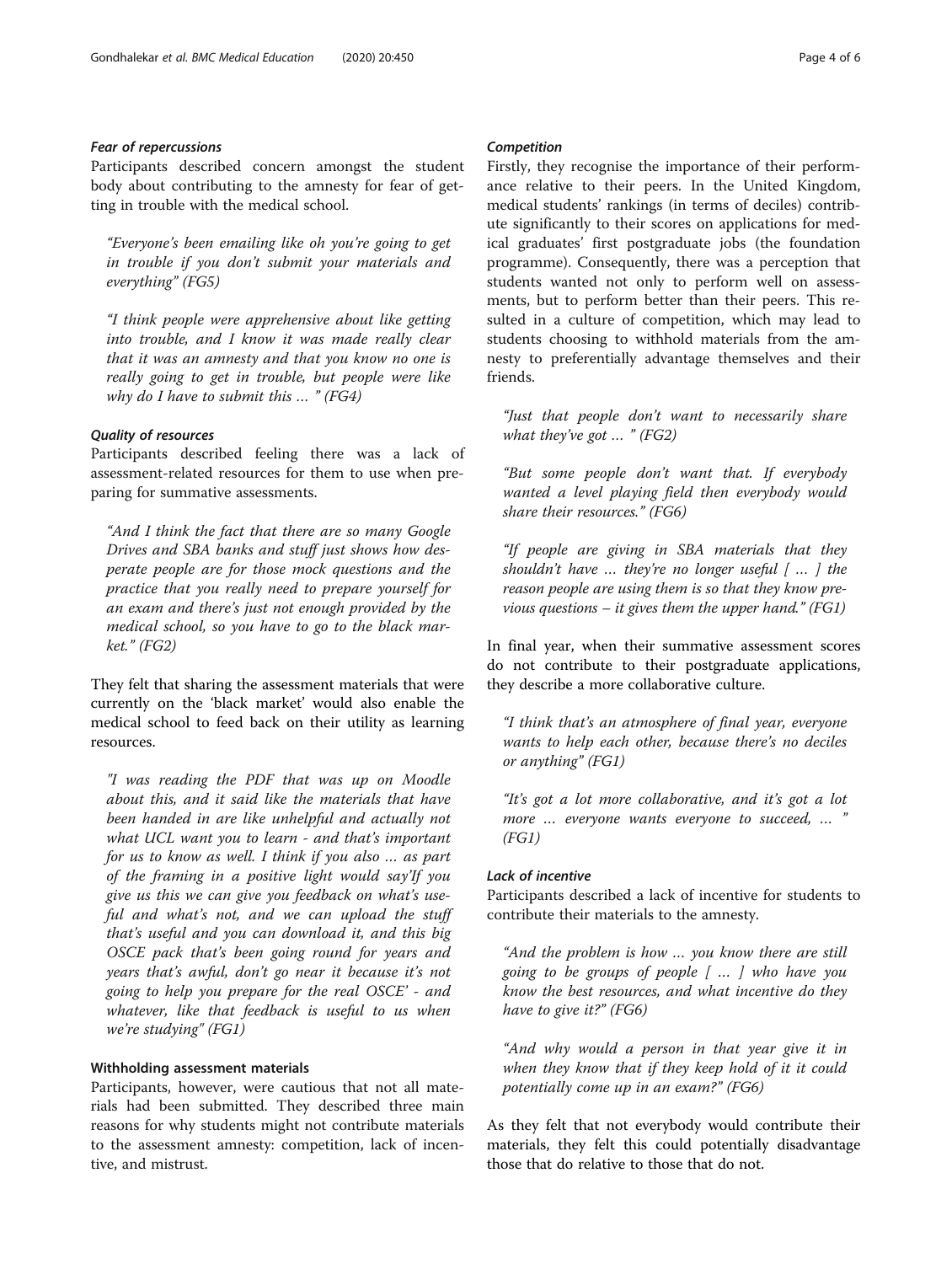Participants described concern amongst the student body about contributing to the amnesty for fear of getting in trouble with the medical school.

"Everyone's been emailing like oh you're going to get in trouble if you don't submit your materials and everything" (FG5)

"I think people were apprehensive about like getting into trouble, and I know it was made really clear that it was an amnesty and that you know no one is really going to get in trouble, but people were like why do I have to submit this  $\ldots$  " (FG4)

Participants described feeling there was a lack of assessment-related resources for them to use when preparing for summative assessments.

"And I think the fact that there are so many Google Drives and SBA banks and stuff just shows how desperate people are for those mock questions and the practice that you really need to prepare yourself for an exam and there's just not enough provided by the medical school, so you have to go to the black market." (FG2)

They felt that sharing the assessment materials that were currently on the 'black market' would also enable the medical school to feed back on their utility as learning resources.

"I was reading the PDF that was up on Moodle about this, and it said like the materials that have been handed in are like unhelpful and actually not what UCL want you to learn - and that's important for us to know as well. I think if you also … as part of the framing in a positive light would say'If you give us this we can give you feedback on what's useful and what's not, and we can upload the stuff that's useful and you can download it, and this big OSCE pack that's been going round for years and years that's awful, don't go near it because it's not going to help you prepare for the real OSCE' - and whatever, like that feedback is useful to us when we're studying" (FG1)

### Withholding assessment materials

Participants, however, were cautious that not all materials had been submitted. They described three main reasons for why students might not contribute materials to the assessment amnesty: competition, lack of incentive, and mistrust.

Firstly, they recognise the importance of their performance relative to their peers. In the United Kingdom, medical students' rankings (in terms of deciles) contribute significantly to their scores on applications for medical graduates' first postgraduate jobs (the foundation programme). Consequently, there was a perception that students wanted not only to perform well on assessments, but to perform better than their peers. This resulted in a culture of competition, which may lead to students choosing to withhold materials from the amnesty to preferentially advantage themselves and their friends.

"Just that people don't want to necessarily share what they've got  $\ldots$  " (FG2)

"But some people don't want that. If everybody wanted a level playing field then everybody would share their resources." (FG6)

"If people are giving in SBA materials that they shouldn't have  $\ldots$  they're no longer useful  $\lceil \ldots \rceil$  the reason people are using them is so that they know previous questions – it gives them the upper hand." (FG1)

In final year, when their summative assessment scores do not contribute to their postgraduate applications, they describe a more collaborative culture.

"I think that's an atmosphere of final year, everyone wants to help each other, because there's no deciles or anything" (FG1)

"It's got a lot more collaborative, and it's got a lot more … everyone wants everyone to succeed, … "  $(FGI)$ 

#### **Lack of incentive**

Participants described a lack of incentive for students to contribute their materials to the amnesty.

"And the problem is how … you know there are still going to be groups of people  $\lceil \ldots \rceil$  who have you know the best resources, and what incentive do they have to give it?" (FG6)

"And why would a person in that year give it in when they know that if they keep hold of it it could potentially come up in an exam?" (FG6)

As they felt that not everybody would contribute their materials, they felt this could potentially disadvantage those that do relative to those that do not.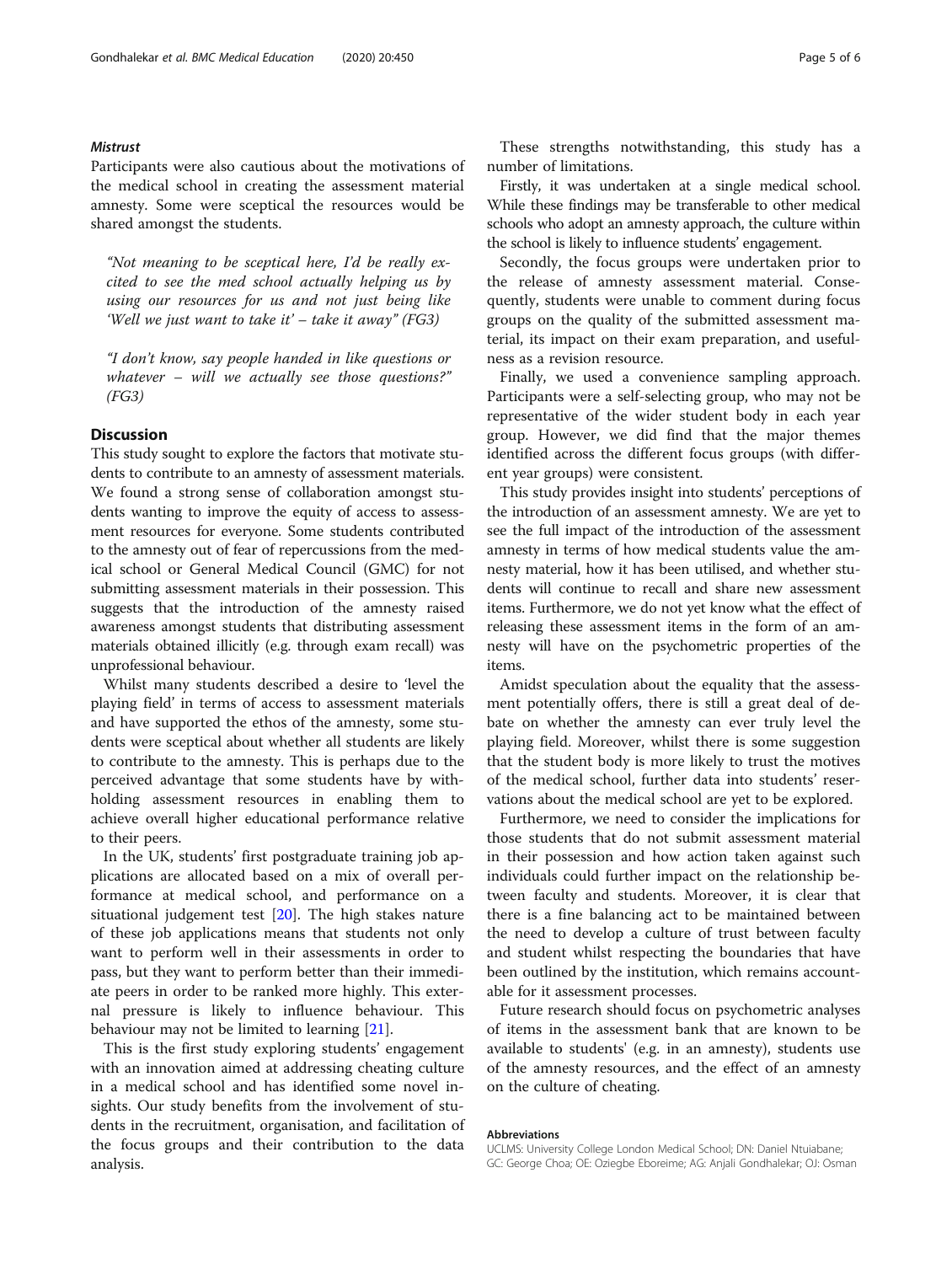### **Mistrust**

Participants were also cautious about the motivations of the medical school in creating the assessment material amnesty. Some were sceptical the resources would be shared amongst the students.

"Not meaning to be sceptical here, I'd be really excited to see the med school actually helping us by using our resources for us and not just being like 'Well we just want to take it'  $-$  take it away" (FG3)

"I don't know, say people handed in like questions or whatever – will we actually see those questions?"  $(FG3)$ 

#### **Discussion**

This study sought to explore the factors that motivate students to contribute to an amnesty of assessment materials. We found a strong sense of collaboration amongst students wanting to improve the equity of access to assessment resources for everyone. Some students contributed to the amnesty out of fear of repercussions from the medical school or General Medical Council (GMC) for not submitting assessment materials in their possession. This suggests that the introduction of the amnesty raised awareness amongst students that distributing assessment materials obtained illicitly (e.g. through exam recall) was unprofessional behaviour.

Whilst many students described a desire to 'level the playing field' in terms of access to assessment materials and have supported the ethos of the amnesty, some students were sceptical about whether all students are likely to contribute to the amnesty. This is perhaps due to the perceived advantage that some students have by withholding assessment resources in enabling them to achieve overall higher educational performance relative to their peers.

In the UK, students' first postgraduate training job applications are allocated based on a mix of overall performance at medical school, and performance on a situational judgement test [\[20\]](#page-5-0). The high stakes nature of these job applications means that students not only want to perform well in their assessments in order to pass, but they want to perform better than their immediate peers in order to be ranked more highly. This external pressure is likely to influence behaviour. This behaviour may not be limited to learning [\[21\]](#page-5-0).

This is the first study exploring students' engagement with an innovation aimed at addressing cheating culture in a medical school and has identified some novel insights. Our study benefits from the involvement of students in the recruitment, organisation, and facilitation of the focus groups and their contribution to the data analysis.

These strengths notwithstanding, this study has a number of limitations.

Firstly, it was undertaken at a single medical school. While these findings may be transferable to other medical schools who adopt an amnesty approach, the culture within the school is likely to influence students' engagement.

Secondly, the focus groups were undertaken prior to the release of amnesty assessment material. Consequently, students were unable to comment during focus groups on the quality of the submitted assessment material, its impact on their exam preparation, and usefulness as a revision resource.

Finally, we used a convenience sampling approach. Participants were a self-selecting group, who may not be representative of the wider student body in each year group. However, we did find that the major themes identified across the different focus groups (with different year groups) were consistent.

This study provides insight into students' perceptions of the introduction of an assessment amnesty. We are yet to see the full impact of the introduction of the assessment amnesty in terms of how medical students value the amnesty material, how it has been utilised, and whether students will continue to recall and share new assessment items. Furthermore, we do not yet know what the effect of releasing these assessment items in the form of an amnesty will have on the psychometric properties of the items.

Amidst speculation about the equality that the assessment potentially offers, there is still a great deal of debate on whether the amnesty can ever truly level the playing field. Moreover, whilst there is some suggestion that the student body is more likely to trust the motives of the medical school, further data into students' reservations about the medical school are yet to be explored.

Furthermore, we need to consider the implications for those students that do not submit assessment material in their possession and how action taken against such individuals could further impact on the relationship between faculty and students. Moreover, it is clear that there is a fine balancing act to be maintained between the need to develop a culture of trust between faculty and student whilst respecting the boundaries that have been outlined by the institution, which remains accountable for it assessment processes.

Future research should focus on psychometric analyses of items in the assessment bank that are known to be available to students' (e.g. in an amnesty), students use of the amnesty resources, and the effect of an amnesty on the culture of cheating.

#### Abbreviations

UCLMS: University College London Medical School; DN: Daniel Ntuiabane; GC: George Choa; OE: Oziegbe Eboreime; AG: Anjali Gondhalekar; OJ: Osman